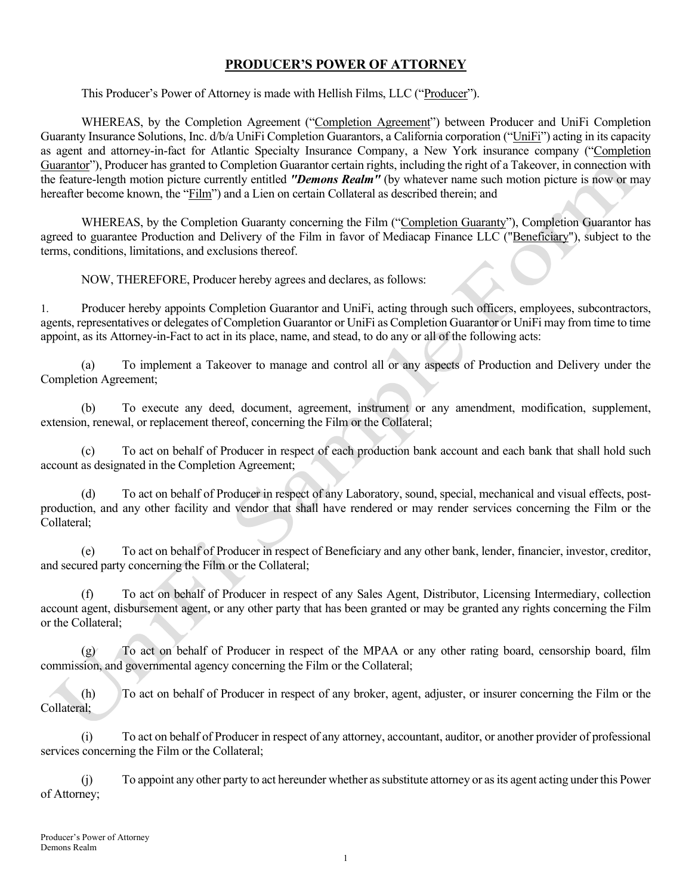## PRODUCER'S POWER OF ATTORNEY

This Producer's Power of Attorney is made with Hellish Films, LLC ("Producer").

 WHEREAS, by the Completion Agreement ("Completion Agreement") between Producer and UniFi Completion Guaranty Insurance Solutions, Inc. d/b/a UniFi Completion Guarantors, a California corporation ("UniFi") acting in its capacity as agent and attorney-in-fact for Atlantic Specialty Insurance Company, a New York insurance company ("Completion Guarantor"), Producer has granted to Completion Guarantor certain rights, including the right of a Takeover, in connection with the feature-length motion picture currently entitled "Demons Realm" (by whatever name such motion picture is now or may hereafter become known, the "Film") and a Lien on certain Collateral as described therein; and

 WHEREAS, by the Completion Guaranty concerning the Film ("Completion Guaranty"), Completion Guarantor has agreed to guarantee Production and Delivery of the Film in favor of Mediacap Finance LLC ("Beneficiary"), subject to the terms, conditions, limitations, and exclusions thereof.

NOW, THEREFORE, Producer hereby agrees and declares, as follows:

1. Producer hereby appoints Completion Guarantor and UniFi, acting through such officers, employees, subcontractors, agents, representatives or delegates of Completion Guarantor or UniFi as Completion Guarantor or UniFi may from time to time appoint, as its Attorney-in-Fact to act in its place, name, and stead, to do any or all of the following acts:

(a) To implement a Takeover to manage and control all or any aspects of Production and Delivery under the Completion Agreement;

(b) To execute any deed, document, agreement, instrument or any amendment, modification, supplement, extension, renewal, or replacement thereof, concerning the Film or the Collateral;

(c) To act on behalf of Producer in respect of each production bank account and each bank that shall hold such account as designated in the Completion Agreement;

(d) To act on behalf of Producer in respect of any Laboratory, sound, special, mechanical and visual effects, postproduction, and any other facility and vendor that shall have rendered or may render services concerning the Film or the Collateral;

(e) To act on behalf of Producer in respect of Beneficiary and any other bank, lender, financier, investor, creditor, and secured party concerning the Film or the Collateral;

(f) To act on behalf of Producer in respect of any Sales Agent, Distributor, Licensing Intermediary, collection account agent, disbursement agent, or any other party that has been granted or may be granted any rights concerning the Film or the Collateral;

(g) To act on behalf of Producer in respect of the MPAA or any other rating board, censorship board, film commission, and governmental agency concerning the Film or the Collateral;

(h) To act on behalf of Producer in respect of any broker, agent, adjuster, or insurer concerning the Film or the Collateral;

(i) To act on behalf of Producer in respect of any attorney, accountant, auditor, or another provider of professional services concerning the Film or the Collateral;

(j) To appoint any other party to act hereunder whether as substitute attorney or as its agent acting under this Power of Attorney;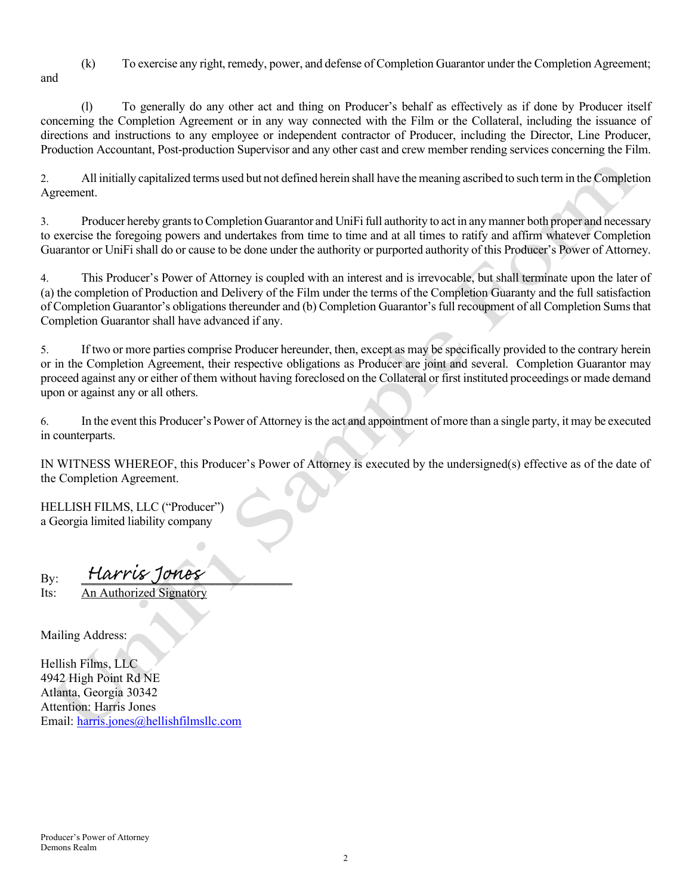(k) To exercise any right, remedy, power, and defense of Completion Guarantor under the Completion Agreement; and

(l) To generally do any other act and thing on Producer's behalf as effectively as if done by Producer itself concerning the Completion Agreement or in any way connected with the Film or the Collateral, including the issuance of directions and instructions to any employee or independent contractor of Producer, including the Director, Line Producer, Production Accountant, Post-production Supervisor and any other cast and crew member rending services concerning the Film.

2. All initially capitalized terms used but not defined herein shall have the meaning ascribed to such term in the Completion Agreement.

3. Producer hereby grants to Completion Guarantor and UniFi full authority to act in any manner both proper and necessary to exercise the foregoing powers and undertakes from time to time and at all times to ratify and affirm whatever Completion Guarantor or UniFi shall do or cause to be done under the authority or purported authority of this Producer's Power of Attorney.

4. This Producer's Power of Attorney is coupled with an interest and is irrevocable, but shall terminate upon the later of (a) the completion of Production and Delivery of the Film under the terms of the Completion Guaranty and the full satisfaction of Completion Guarantor's obligations thereunder and (b) Completion Guarantor's full recoupment of all Completion Sums that Completion Guarantor shall have advanced if any.

5. If two or more parties comprise Producer hereunder, then, except as may be specifically provided to the contrary herein or in the Completion Agreement, their respective obligations as Producer are joint and several. Completion Guarantor may proceed against any or either of them without having foreclosed on the Collateral or first instituted proceedings or made demand upon or against any or all others.

6. In the event this Producer's Power of Attorney is the act and appointment of more than a single party, it may be executed in counterparts.

IN WITNESS WHEREOF, this Producer's Power of Attorney is executed by the undersigned(s) effective as of the date of the Completion Agreement.

HELLISH FILMS, LLC ("Producer") a Georgia limited liability company

 $B$ y:  $\frac{F^2}{2}$   $\frac{F^2}{2}$   $\frac{F^2}{2}$   $\frac{F^2}{2}$   $\frac{F^2}{2}$   $\frac{F^2}{2}$   $\frac{F^2}{2}$   $\frac{F^2}{2}$   $\frac{F^2}{2}$   $\frac{F^2}{2}$   $\frac{F^2}{2}$   $\frac{F^2}{2}$   $\frac{F^2}{2}$   $\frac{F^2}{2}$   $\frac{F^2}{2}$   $\frac{F^2}{2}$   $\frac{F^2}{2}$   $\frac{F^2}{2}$ 

Its: An Authorized Signatory

Mailing Address:

Hellish Films, LLC 4942 High Point Rd NE Atlanta, Georgia 30342 Attention: Harris Jones Email: harris.jones@hellishfilmsllc.com